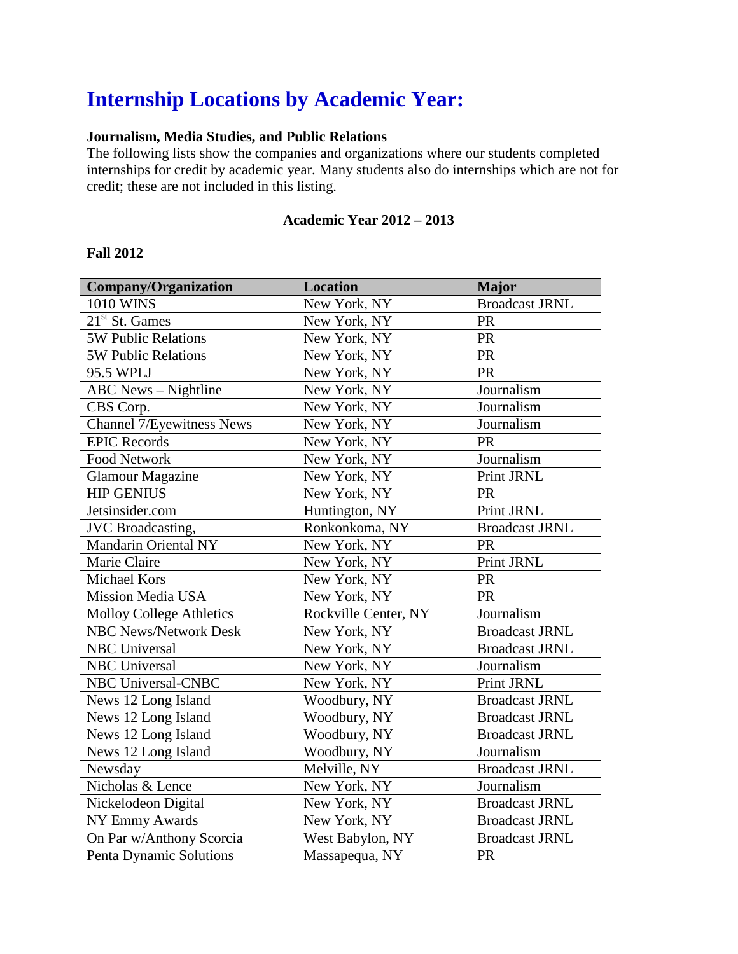# **Internship Locations by Academic Year:**

### **Journalism, Media Studies, and Public Relations**

The following lists show the companies and organizations where our students completed internships for credit by academic year. Many students also do internships which are not for credit; these are not included in this listing.

#### **Academic Year 2012 – 2013**

#### **Fall 2012**

| <b>Company/Organization</b>     | <b>Location</b>      | <b>Major</b>          |
|---------------------------------|----------------------|-----------------------|
| 1010 WINS                       | New York, NY         | <b>Broadcast JRNL</b> |
| $21st$ St. Games                | New York, NY         | <b>PR</b>             |
| <b>5W Public Relations</b>      | New York, NY         | <b>PR</b>             |
| <b>5W Public Relations</b>      | New York, NY         | <b>PR</b>             |
| 95.5 WPLJ                       | New York, NY         | PR                    |
| <b>ABC</b> News - Nightline     | New York, NY         | Journalism            |
| CBS Corp.                       | New York, NY         | Journalism            |
| Channel 7/Eyewitness News       | New York, NY         | Journalism            |
| <b>EPIC Records</b>             | New York, NY         | <b>PR</b>             |
| <b>Food Network</b>             | New York, NY         | Journalism            |
| <b>Glamour Magazine</b>         | New York, NY         | Print JRNL            |
| <b>HIP GENIUS</b>               | New York, NY         | PR                    |
| Jetsinsider.com                 | Huntington, NY       | Print JRNL            |
| <b>JVC</b> Broadcasting,        | Ronkonkoma, NY       | <b>Broadcast JRNL</b> |
| Mandarin Oriental NY            | New York, NY         | <b>PR</b>             |
| Marie Claire                    | New York, NY         | Print JRNL            |
| <b>Michael Kors</b>             | New York, NY         | PR                    |
| <b>Mission Media USA</b>        | New York, NY         | <b>PR</b>             |
| <b>Molloy College Athletics</b> | Rockville Center, NY | Journalism            |
| <b>NBC News/Network Desk</b>    | New York, NY         | <b>Broadcast JRNL</b> |
| <b>NBC</b> Universal            | New York, NY         | <b>Broadcast JRNL</b> |
| <b>NBC</b> Universal            | New York, NY         | Journalism            |
| <b>NBC Universal-CNBC</b>       | New York, NY         | Print JRNL            |
| News 12 Long Island             | Woodbury, NY         | <b>Broadcast JRNL</b> |
| News 12 Long Island             | Woodbury, NY         | <b>Broadcast JRNL</b> |
| News 12 Long Island             | Woodbury, NY         | <b>Broadcast JRNL</b> |
| News 12 Long Island             | Woodbury, NY         | Journalism            |
| Newsday                         | Melville, NY         | <b>Broadcast JRNL</b> |
| Nicholas & Lence                | New York, NY         | Journalism            |
| Nickelodeon Digital             | New York, NY         | <b>Broadcast JRNL</b> |
| <b>NY Emmy Awards</b>           | New York, NY         | <b>Broadcast JRNL</b> |
| On Par w/Anthony Scorcia        | West Babylon, NY     | <b>Broadcast JRNL</b> |
| Penta Dynamic Solutions         | Massapequa, NY       | <b>PR</b>             |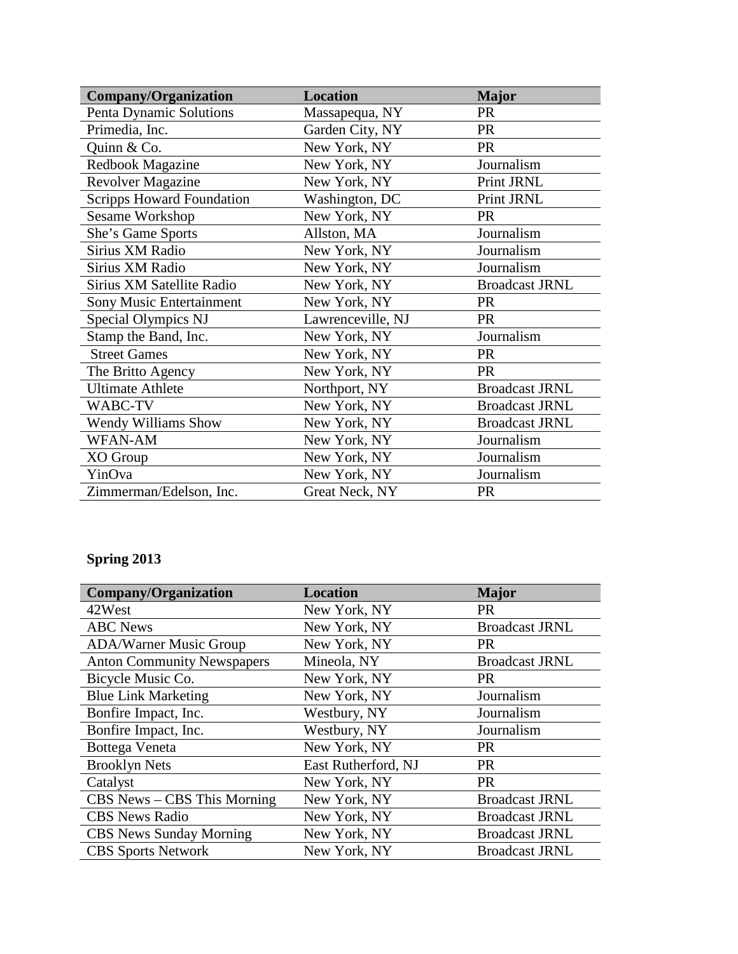| <b>Company/Organization</b>      | <b>Location</b>   | <b>Major</b>          |
|----------------------------------|-------------------|-----------------------|
| Penta Dynamic Solutions          | Massapequa, NY    | <b>PR</b>             |
| Primedia, Inc.                   | Garden City, NY   | <b>PR</b>             |
| Quinn & Co.                      | New York, NY      | <b>PR</b>             |
| Redbook Magazine                 | New York, NY      | Journalism            |
| <b>Revolver Magazine</b>         | New York, NY      | Print JRNL            |
| <b>Scripps Howard Foundation</b> | Washington, DC    | Print JRNL            |
| <b>Sesame Workshop</b>           | New York, NY      | <b>PR</b>             |
| She's Game Sports                | Allston, MA       | Journalism            |
| Sirius XM Radio                  | New York, NY      | Journalism            |
| Sirius XM Radio                  | New York, NY      | Journalism            |
| Sirius XM Satellite Radio        | New York, NY      | <b>Broadcast JRNL</b> |
| <b>Sony Music Entertainment</b>  | New York, NY      | <b>PR</b>             |
| Special Olympics NJ              | Lawrenceville, NJ | <b>PR</b>             |
| Stamp the Band, Inc.             | New York, NY      | Journalism            |
| <b>Street Games</b>              | New York, NY      | <b>PR</b>             |
| The Britto Agency                | New York, NY      | <b>PR</b>             |
| <b>Ultimate Athlete</b>          | Northport, NY     | <b>Broadcast JRNL</b> |
| WABC-TV                          | New York, NY      | <b>Broadcast JRNL</b> |
| <b>Wendy Williams Show</b>       | New York, NY      | <b>Broadcast JRNL</b> |
| <b>WFAN-AM</b>                   | New York, NY      | Journalism            |
| XO Group                         | New York, NY      | Journalism            |
| YinOva                           | New York, NY      | Journalism            |
| Zimmerman/Edelson, Inc.          | Great Neck, NY    | <b>PR</b>             |

## **Spring 2013**

| <b>Company/Organization</b>       | <b>Location</b>     | <b>Major</b>          |
|-----------------------------------|---------------------|-----------------------|
| 42West                            | New York, NY        | <b>PR</b>             |
| <b>ABC</b> News                   | New York, NY        | <b>Broadcast JRNL</b> |
| <b>ADA/Warner Music Group</b>     | New York, NY        | <b>PR</b>             |
| <b>Anton Community Newspapers</b> | Mineola, NY         | <b>Broadcast JRNL</b> |
| Bicycle Music Co.                 | New York, NY        | <b>PR</b>             |
| <b>Blue Link Marketing</b>        | New York, NY        | Journalism            |
| Bonfire Impact, Inc.              | Westbury, NY        | Journalism            |
| Bonfire Impact, Inc.              | Westbury, NY        | Journalism            |
| Bottega Veneta                    | New York, NY        | <b>PR</b>             |
| <b>Brooklyn Nets</b>              | East Rutherford, NJ | <b>PR</b>             |
| Catalyst                          | New York, NY        | <b>PR</b>             |
| $CBS News - CBS$ This Morning     | New York, NY        | <b>Broadcast JRNL</b> |
| <b>CBS</b> News Radio             | New York, NY        | <b>Broadcast JRNL</b> |
| <b>CBS</b> News Sunday Morning    | New York, NY        | <b>Broadcast JRNL</b> |
| <b>CBS</b> Sports Network         | New York, NY        | <b>Broadcast JRNL</b> |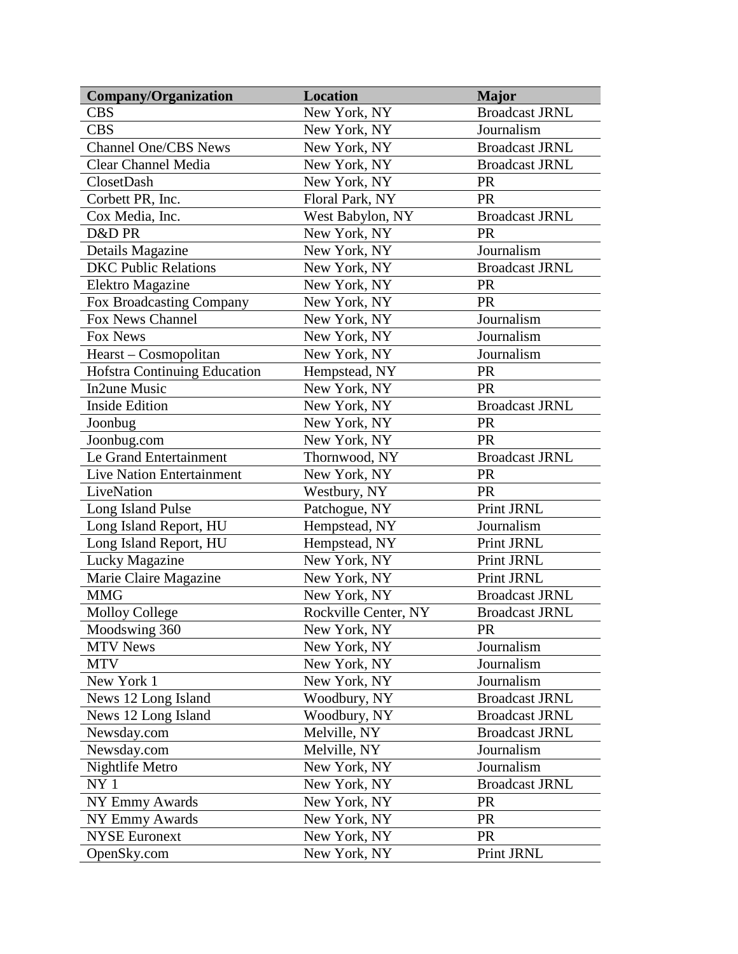| <b>Company/Organization</b>         | <b>Location</b>      | <b>Major</b>          |
|-------------------------------------|----------------------|-----------------------|
| <b>CBS</b>                          | New York, NY         | <b>Broadcast JRNL</b> |
| <b>CBS</b>                          | New York, NY         | Journalism            |
| <b>Channel One/CBS News</b>         | New York, NY         | <b>Broadcast JRNL</b> |
| <b>Clear Channel Media</b>          | New York, NY         | <b>Broadcast JRNL</b> |
| ClosetDash                          | New York, NY         | <b>PR</b>             |
| Corbett PR, Inc.                    | Floral Park, NY      | PR                    |
| Cox Media, Inc.                     | West Babylon, NY     | <b>Broadcast JRNL</b> |
| D&D PR                              | New York, NY         | <b>PR</b>             |
| Details Magazine                    | New York, NY         | Journalism            |
| <b>DKC Public Relations</b>         | New York, NY         | <b>Broadcast JRNL</b> |
| Elektro Magazine                    | New York, NY         | <b>PR</b>             |
| Fox Broadcasting Company            | New York, NY         | <b>PR</b>             |
| Fox News Channel                    | New York, NY         | Journalism            |
| Fox News                            | New York, NY         | Journalism            |
| Hearst – Cosmopolitan               | New York, NY         | Journalism            |
| <b>Hofstra Continuing Education</b> | Hempstead, NY        | <b>PR</b>             |
| <b>In2une Music</b>                 | New York, NY         | PR                    |
| <b>Inside Edition</b>               | New York, NY         | <b>Broadcast JRNL</b> |
| Joonbug                             | New York, NY         | <b>PR</b>             |
| Joonbug.com                         | New York, NY         | <b>PR</b>             |
| Le Grand Entertainment              | Thornwood, NY        | <b>Broadcast JRNL</b> |
| Live Nation Entertainment           | New York, NY         | PR                    |
| LiveNation                          | Westbury, NY         | <b>PR</b>             |
| Long Island Pulse                   | Patchogue, NY        | Print JRNL            |
| Long Island Report, HU              | Hempstead, NY        | Journalism            |
| Long Island Report, HU              | Hempstead, NY        | Print JRNL            |
| Lucky Magazine                      | New York, NY         | Print JRNL            |
| Marie Claire Magazine               | New York, NY         | Print JRNL            |
| <b>MMG</b>                          | New York, NY         | <b>Broadcast JRNL</b> |
| <b>Molloy College</b>               | Rockville Center, NY | <b>Broadcast JRNL</b> |
| Moodswing 360                       | New York, NY         | <b>PR</b>             |
| <b>MTV News</b>                     | New York, NY         | Journalism            |
| <b>MTV</b>                          | New York, NY         | Journalism            |
| New York 1                          | New York, NY         | Journalism            |
| News 12 Long Island                 | Woodbury, NY         | <b>Broadcast JRNL</b> |
| News 12 Long Island                 | Woodbury, NY         | <b>Broadcast JRNL</b> |
| Newsday.com                         | Melville, NY         | <b>Broadcast JRNL</b> |
| Newsday.com                         | Melville, NY         | Journalism            |
| Nightlife Metro                     | New York, NY         | Journalism            |
| NY <sub>1</sub>                     | New York, NY         | <b>Broadcast JRNL</b> |
| <b>NY Emmy Awards</b>               | New York, NY         | <b>PR</b>             |
| NY Emmy Awards                      | New York, NY         | <b>PR</b>             |
| <b>NYSE Euronext</b>                | New York, NY         | <b>PR</b>             |
| OpenSky.com                         | New York, NY         | Print JRNL            |